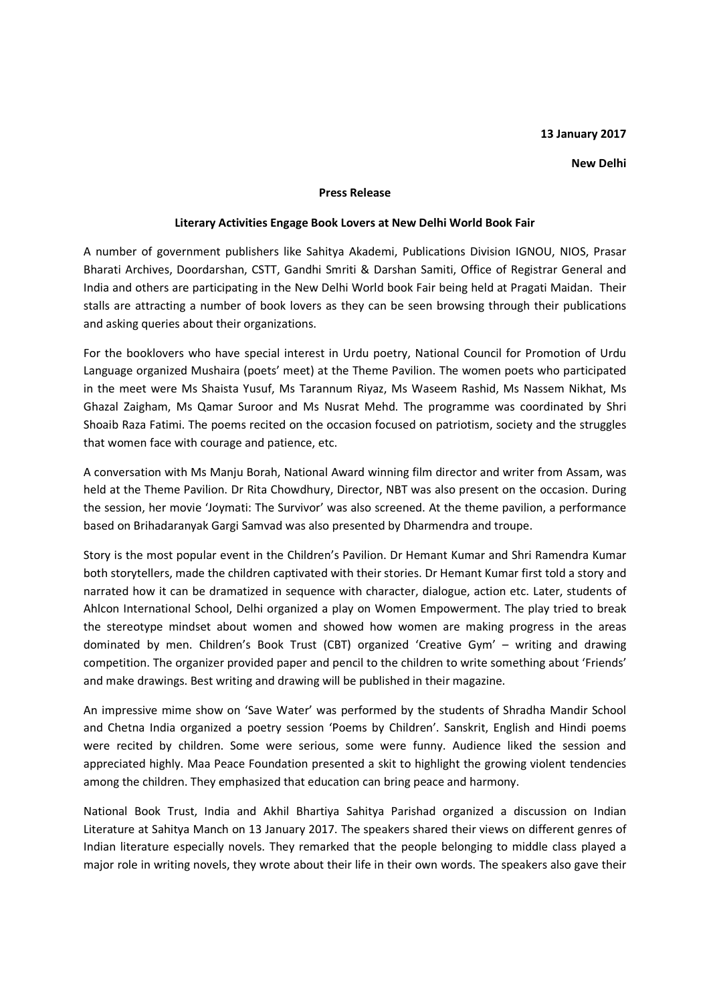## **13 January 2017**

## **New Delhi**

## **Press Release**

## **Literary Activities Engage Book Lovers at New Delhi World Book Fair**

A number of government publishers like Sahitya Akademi, Publications Division IGNOU, NIOS, Prasar Bharati Archives, Doordarshan, CSTT, Gandhi Smriti & Darshan Samiti, Office of Registrar General and India and others are participating in the New Delhi World book Fair being held at Pragati Maidan. Their stalls are attracting a number of book lovers as they can be seen browsing through their publications and asking queries about their organizations.

For the booklovers who have special interest in Urdu poetry, National Council for Promotion of Urdu Language organized Mushaira (poets' meet) at the Theme Pavilion. The women poets who participated in the meet were Ms Shaista Yusuf, Ms Tarannum Riyaz, Ms Waseem Rashid, Ms Nassem Nikhat, Ms Ghazal Zaigham, Ms Qamar Suroor and Ms Nusrat Mehd. The programme was coordinated by Shri Shoaib Raza Fatimi. The poems recited on the occasion focused on patriotism, society and the struggles that women face with courage and patience, etc.

A conversation with Ms Manju Borah, National Award winning film director and writer from Assam, was held at the Theme Pavilion. Dr Rita Chowdhury, Director, NBT was also present on the occasion. During the session, her movie 'Joymati: The Survivor' was also screened. At the theme pavilion, a performance based on Brihadaranyak Gargi Samvad was also presented by Dharmendra and troupe.

Story is the most popular event in the Children's Pavilion. Dr Hemant Kumar and Shri Ramendra Kumar both storytellers, made the children captivated with their stories. Dr Hemant Kumar first told a story and narrated how it can be dramatized in sequence with character, dialogue, action etc. Later, students of Ahlcon International School, Delhi organized a play on Women Empowerment. The play tried to break the stereotype mindset about women and showed how women are making progress in the areas dominated by men. Children's Book Trust (CBT) organized 'Creative Gym' – writing and drawing competition. The organizer provided paper and pencil to the children to write something about 'Friends' and make drawings. Best writing and drawing will be published in their magazine.

An impressive mime show on 'Save Water' was performed by the students of Shradha Mandir School and Chetna India organized a poetry session 'Poems by Children'. Sanskrit, English and Hindi poems were recited by children. Some were serious, some were funny. Audience liked the session and appreciated highly. Maa Peace Foundation presented a skit to highlight the growing violent tendencies among the children. They emphasized that education can bring peace and harmony.

National Book Trust, India and Akhil Bhartiya Sahitya Parishad organized a discussion on Indian Literature at Sahitya Manch on 13 January 2017. The speakers shared their views on different genres of Indian literature especially novels. They remarked that the people belonging to middle class played a major role in writing novels, they wrote about their life in their own words. The speakers also gave their